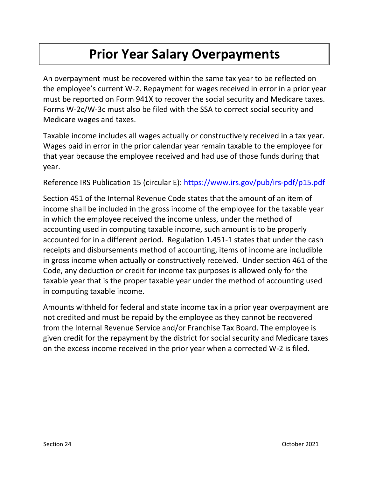## **Prior Year Salary Overpayments**

An overpayment must be recovered within the same tax year to be reflected on the employee's current W-2. Repayment for wages received in error in a prior year must be reported on Form 941X to recover the social security and Medicare taxes. Forms W-2c/W-3c must also be filed with the SSA to correct social security and Medicare wages and taxes.

Taxable income includes all wages actually or constructively received in a tax year. Wages paid in error in the prior calendar year remain taxable to the employee for that year because the employee received and had use of those funds during that year.

Reference IRS Publication 15 (circular E):<https://www.irs.gov/pub/irs-pdf/p15.pdf>

Section 451 of the Internal Revenue Code states that the amount of an item of income shall be included in the gross income of the employee for the taxable year in which the employee received the income unless, under the method of accounting used in computing taxable income, such amount is to be properly accounted for in a different period. Regulation 1.451-1 states that under the cash receipts and disbursements method of accounting, items of income are includible in gross income when actually or constructively received. Under section 461 of the Code, any deduction or credit for income tax purposes is allowed only for the taxable year that is the proper taxable year under the method of accounting used in computing taxable income.

Amounts withheld for federal and state income tax in a prior year overpayment are not credited and must be repaid by the employee as they cannot be recovered from the Internal Revenue Service and/or Franchise Tax Board. The employee is given credit for the repayment by the district for social security and Medicare taxes on the excess income received in the prior year when a corrected W-2 is filed.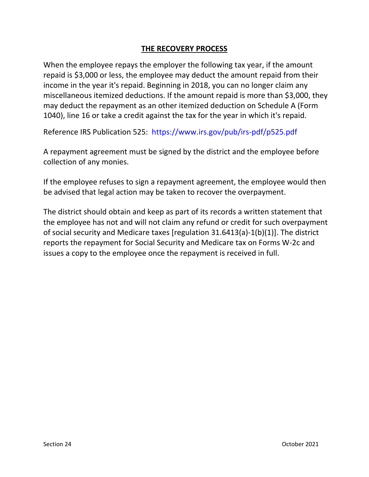## **THE RECOVERY PROCESS**

When the employee repays the employer the following tax year, if the amount repaid is \$3,000 or less, the employee may deduct the amount repaid from their income in the year it's repaid. Beginning in 2018, you can no longer claim any miscellaneous itemized deductions. If the amount repaid is more than \$3,000, they may deduct the repayment as an other itemized deduction on Schedule A (Form 1040), line 16 or take a credit against the tax for the year in which it's repaid.

Reference IRS Publication 525: <https://www.irs.gov/pub/irs-pdf/p525.pdf>

A repayment agreement must be signed by the district and the employee before collection of any monies.

If the employee refuses to sign a repayment agreement, the employee would then be advised that legal action may be taken to recover the overpayment.

The district should obtain and keep as part of its records a written statement that the employee has not and will not claim any refund or credit for such overpayment of social security and Medicare taxes [regulation 31.6413(a)-1(b)(1)]. The district reports the repayment for Social Security and Medicare tax on Forms W-2c and issues a copy to the employee once the repayment is received in full.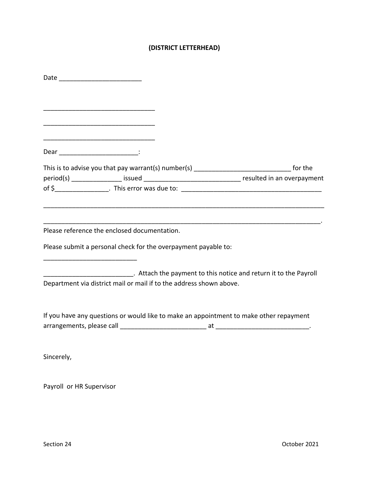### **(DISTRICT LETTERHEAD)**

|                                      | <u> 1980 - Johann Barn, amerikan besteman besteman besteman besteman besteman besteman besteman besteman besteman</u> |                                                                                                  |
|--------------------------------------|-----------------------------------------------------------------------------------------------------------------------|--------------------------------------------------------------------------------------------------|
|                                      |                                                                                                                       |                                                                                                  |
| Dear ______________________________: |                                                                                                                       |                                                                                                  |
|                                      |                                                                                                                       |                                                                                                  |
|                                      |                                                                                                                       |                                                                                                  |
|                                      |                                                                                                                       | period(s) _________________ issued __________________________________ resulted in an overpayment |
|                                      |                                                                                                                       |                                                                                                  |
|                                      |                                                                                                                       |                                                                                                  |
|                                      |                                                                                                                       |                                                                                                  |
|                                      | Please reference the enclosed documentation.                                                                          |                                                                                                  |
|                                      |                                                                                                                       |                                                                                                  |
|                                      | Please submit a personal check for the overpayment payable to:                                                        |                                                                                                  |
|                                      |                                                                                                                       |                                                                                                  |
|                                      |                                                                                                                       | _______________________________. Attach the payment to this notice and return it to the Payroll  |
|                                      | Department via district mail or mail if to the address shown above.                                                   |                                                                                                  |
|                                      |                                                                                                                       |                                                                                                  |
|                                      |                                                                                                                       |                                                                                                  |
|                                      |                                                                                                                       | If you have any questions or would like to make an appointment to make other repayment           |
|                                      |                                                                                                                       |                                                                                                  |
|                                      |                                                                                                                       |                                                                                                  |
|                                      |                                                                                                                       |                                                                                                  |
| Sincerely,                           |                                                                                                                       |                                                                                                  |
|                                      |                                                                                                                       |                                                                                                  |
|                                      |                                                                                                                       |                                                                                                  |

Payroll or HR Supervisor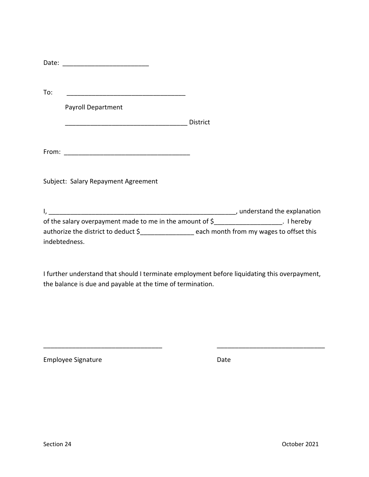| To:<br><u> 1989 - Johann Barn, mars ann an Cathair ann an t-Aonaichte ann an t-Aonaichte ann an t-Aonaichte ann an t-Aon</u> |          |  |
|------------------------------------------------------------------------------------------------------------------------------|----------|--|
| <b>Payroll Department</b>                                                                                                    |          |  |
|                                                                                                                              | District |  |
|                                                                                                                              |          |  |
|                                                                                                                              |          |  |
| Subject: Salary Repayment Agreement                                                                                          |          |  |
|                                                                                                                              |          |  |
|                                                                                                                              |          |  |
| of the salary overpayment made to me in the amount of \$____________________. I hereby                                       |          |  |
| authorize the district to deduct \$_________________ each month from my wages to offset this                                 |          |  |
| indebtedness.                                                                                                                |          |  |

I further understand that should I terminate employment before liquidating this overpayment, the balance is due and payable at the time of termination.

\_\_\_\_\_\_\_\_\_\_\_\_\_\_\_\_\_\_\_\_\_\_\_\_\_\_\_\_\_\_\_\_\_ \_\_\_\_\_\_\_\_\_\_\_\_\_\_\_\_\_\_\_\_\_\_\_\_\_\_\_\_\_\_

Employee Signature **Date** Date